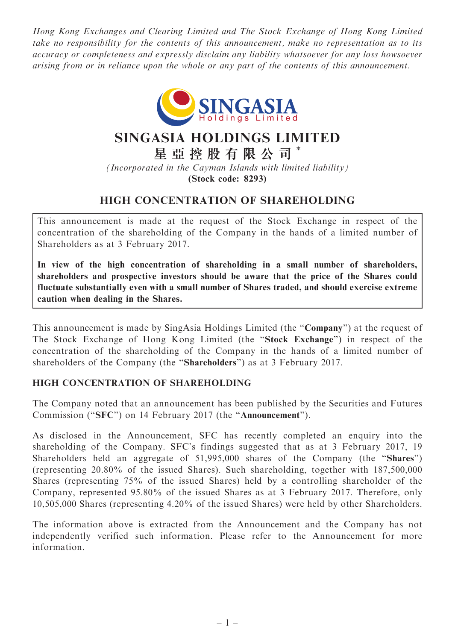Hong Kong Exchanges and Clearing Limited and The Stock Exchange of Hong Kong Limited take no responsibility for the contents of this announcement, make no representation as to its accuracy or completeness and expressly disclaim any liability whatsoever for any loss howsoever arising from or in reliance upon the whole or any part of the contents of this announcement.



## SINGASIA HOLDINGS LIMITED

星 亞 控 股 有 限 公 司 \*

(Incorporated in the Cayman Islands with limited liability) (Stock code: 8293)

## HIGH CONCENTRATION OF SHAREHOLDING

This announcement is made at the request of the Stock Exchange in respect of the concentration of the shareholding of the Company in the hands of a limited number of Shareholders as at 3 February 2017.

In view of the high concentration of shareholding in a small number of shareholders, shareholders and prospective investors should be aware that the price of the Shares could fluctuate substantially even with a small number of Shares traded, and should exercise extreme caution when dealing in the Shares.

This announcement is made by SingAsia Holdings Limited (the "Company") at the request of The Stock Exchange of Hong Kong Limited (the ''Stock Exchange'') in respect of the concentration of the shareholding of the Company in the hands of a limited number of shareholders of the Company (the ''Shareholders'') as at 3 February 2017.

## HIGH CONCENTRATION OF SHAREHOLDING

The Company noted that an announcement has been published by the Securities and Futures Commission ("SFC") on 14 February 2017 (the "Announcement").

As disclosed in the Announcement, SFC has recently completed an enquiry into the shareholding of the Company. SFC's findings suggested that as at 3 February 2017, 19 Shareholders held an aggregate of 51,995,000 shares of the Company (the ''Shares'') (representing 20.80% of the issued Shares). Such shareholding, together with 187,500,000 Shares (representing 75% of the issued Shares) held by a controlling shareholder of the Company, represented 95.80% of the issued Shares as at 3 February 2017. Therefore, only 10,505,000 Shares (representing 4.20% of the issued Shares) were held by other Shareholders.

The information above is extracted from the Announcement and the Company has not independently verified such information. Please refer to the Announcement for more information.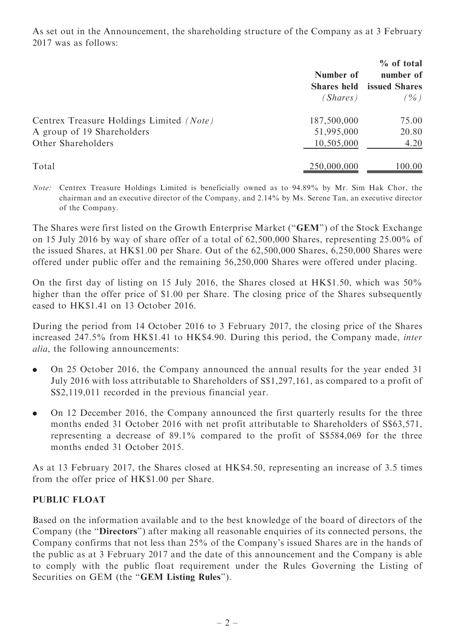As set out in the Announcement, the shareholding structure of the Company as at 3 February 2017 was as follows:

|                                          | Number of<br><b>Shares held</b> | % of total<br>number of<br>issued Shares |
|------------------------------------------|---------------------------------|------------------------------------------|
|                                          | (Shares)                        | $(\%)$                                   |
| Centrex Treasure Holdings Limited (Note) | 187,500,000                     | 75.00                                    |
| A group of 19 Shareholders               | 51,995,000                      | 20.80                                    |
| Other Shareholders                       | 10,505,000                      | 4.20                                     |
| Total                                    | 250,000,000                     | 100.00                                   |

Note: Centrex Treasure Holdings Limited is beneficially owned as to 94.89% by Mr. Sim Hak Chor, the chairman and an executive director of the Company, and 2.14% by Ms. Serene Tan, an executive director of the Company.

The Shares were first listed on the Growth Enterprise Market (''GEM'') of the Stock Exchange on 15 July 2016 by way of share offer of a total of 62,500,000 Shares, representing 25.00% of the issued Shares, at HK\$1.00 per Share. Out of the 62,500,000 Shares, 6,250,000 Shares were offered under public offer and the remaining 56,250,000 Shares were offered under placing.

On the first day of listing on 15 July 2016, the Shares closed at HK\$1.50, which was 50% higher than the offer price of \$1.00 per Share. The closing price of the Shares subsequently eased to HK\$1.41 on 13 October 2016.

During the period from 14 October 2016 to 3 February 2017, the closing price of the Shares increased 247.5% from HK\$1.41 to HK\$4.90. During this period, the Company made, inter alia, the following announcements:

- . On 25 October 2016, the Company announced the annual results for the year ended 31 July 2016 with loss attributable to Shareholders of S\$1,297,161, as compared to a profit of S\$2,119,011 recorded in the previous financial year.
- . On 12 December 2016, the Company announced the first quarterly results for the three months ended 31 October 2016 with net profit attributable to Shareholders of S\$63,571, representing a decrease of 89.1% compared to the profit of S\$584,069 for the three months ended 31 October 2015.

As at 13 February 2017, the Shares closed at HK\$4.50, representing an increase of 3.5 times from the offer price of HK\$1.00 per Share.

## PUBLIC FLOAT

Based on the information available and to the best knowledge of the board of directors of the Company (the ''Directors'') after making all reasonable enquiries of its connected persons, the Company confirms that not less than 25% of the Company's issued Shares are in the hands of the public as at 3 February 2017 and the date of this announcement and the Company is able to comply with the public float requirement under the Rules Governing the Listing of Securities on GEM (the "GEM Listing Rules").